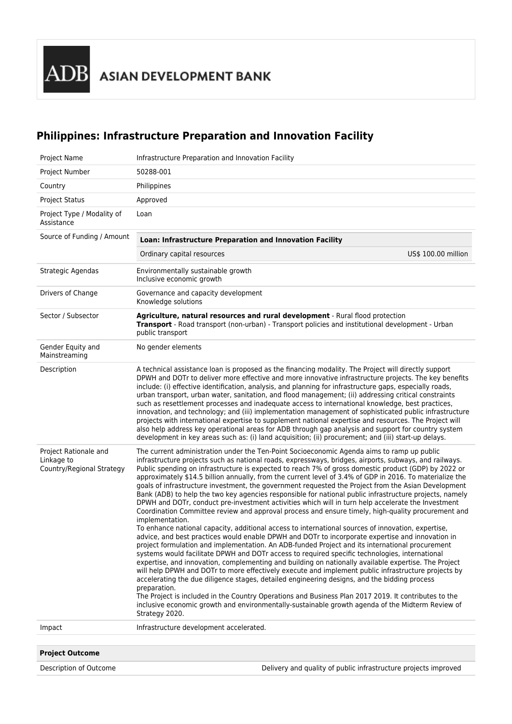$\overline{\rm DB}$  asian development bank

# **Philippines: Infrastructure Preparation and Innovation Facility**

| Project Name                                                     | Infrastructure Preparation and Innovation Facility                                                                                                                                                                                                                                                                                                                                                                                                                                                                                                                                                                                                                                                                                                                                                                                                                                                                                                                                                                                                                                                                                                                                                                                                                                                                                                                                                                                                                                                                                                                                                                                                                                                                                                                                                                                                    |
|------------------------------------------------------------------|-------------------------------------------------------------------------------------------------------------------------------------------------------------------------------------------------------------------------------------------------------------------------------------------------------------------------------------------------------------------------------------------------------------------------------------------------------------------------------------------------------------------------------------------------------------------------------------------------------------------------------------------------------------------------------------------------------------------------------------------------------------------------------------------------------------------------------------------------------------------------------------------------------------------------------------------------------------------------------------------------------------------------------------------------------------------------------------------------------------------------------------------------------------------------------------------------------------------------------------------------------------------------------------------------------------------------------------------------------------------------------------------------------------------------------------------------------------------------------------------------------------------------------------------------------------------------------------------------------------------------------------------------------------------------------------------------------------------------------------------------------------------------------------------------------------------------------------------------------|
| Project Number                                                   | 50288-001                                                                                                                                                                                                                                                                                                                                                                                                                                                                                                                                                                                                                                                                                                                                                                                                                                                                                                                                                                                                                                                                                                                                                                                                                                                                                                                                                                                                                                                                                                                                                                                                                                                                                                                                                                                                                                             |
| Country                                                          | Philippines                                                                                                                                                                                                                                                                                                                                                                                                                                                                                                                                                                                                                                                                                                                                                                                                                                                                                                                                                                                                                                                                                                                                                                                                                                                                                                                                                                                                                                                                                                                                                                                                                                                                                                                                                                                                                                           |
| <b>Project Status</b>                                            | Approved                                                                                                                                                                                                                                                                                                                                                                                                                                                                                                                                                                                                                                                                                                                                                                                                                                                                                                                                                                                                                                                                                                                                                                                                                                                                                                                                                                                                                                                                                                                                                                                                                                                                                                                                                                                                                                              |
| Project Type / Modality of<br>Assistance                         | Loan                                                                                                                                                                                                                                                                                                                                                                                                                                                                                                                                                                                                                                                                                                                                                                                                                                                                                                                                                                                                                                                                                                                                                                                                                                                                                                                                                                                                                                                                                                                                                                                                                                                                                                                                                                                                                                                  |
| Source of Funding / Amount                                       | Loan: Infrastructure Preparation and Innovation Facility                                                                                                                                                                                                                                                                                                                                                                                                                                                                                                                                                                                                                                                                                                                                                                                                                                                                                                                                                                                                                                                                                                                                                                                                                                                                                                                                                                                                                                                                                                                                                                                                                                                                                                                                                                                              |
|                                                                  | Ordinary capital resources<br>US\$ 100.00 million                                                                                                                                                                                                                                                                                                                                                                                                                                                                                                                                                                                                                                                                                                                                                                                                                                                                                                                                                                                                                                                                                                                                                                                                                                                                                                                                                                                                                                                                                                                                                                                                                                                                                                                                                                                                     |
| Strategic Agendas                                                | Environmentally sustainable growth<br>Inclusive economic growth                                                                                                                                                                                                                                                                                                                                                                                                                                                                                                                                                                                                                                                                                                                                                                                                                                                                                                                                                                                                                                                                                                                                                                                                                                                                                                                                                                                                                                                                                                                                                                                                                                                                                                                                                                                       |
| Drivers of Change                                                | Governance and capacity development<br>Knowledge solutions                                                                                                                                                                                                                                                                                                                                                                                                                                                                                                                                                                                                                                                                                                                                                                                                                                                                                                                                                                                                                                                                                                                                                                                                                                                                                                                                                                                                                                                                                                                                                                                                                                                                                                                                                                                            |
| Sector / Subsector                                               | Agriculture, natural resources and rural development - Rural flood protection<br>Transport - Road transport (non-urban) - Transport policies and institutional development - Urban<br>public transport                                                                                                                                                                                                                                                                                                                                                                                                                                                                                                                                                                                                                                                                                                                                                                                                                                                                                                                                                                                                                                                                                                                                                                                                                                                                                                                                                                                                                                                                                                                                                                                                                                                |
| Gender Equity and<br>Mainstreaming                               | No gender elements                                                                                                                                                                                                                                                                                                                                                                                                                                                                                                                                                                                                                                                                                                                                                                                                                                                                                                                                                                                                                                                                                                                                                                                                                                                                                                                                                                                                                                                                                                                                                                                                                                                                                                                                                                                                                                    |
| Description                                                      | A technical assistance loan is proposed as the financing modality. The Project will directly support<br>DPWH and DOTr to deliver more effective and more innovative infrastructure projects. The key benefits<br>include: (i) effective identification, analysis, and planning for infrastructure gaps, especially roads,<br>urban transport, urban water, sanitation, and flood management; (ii) addressing critical constraints<br>such as resettlement processes and inadequate access to international knowledge, best practices,<br>innovation, and technology; and (iii) implementation management of sophisticated public infrastructure<br>projects with international expertise to supplement national expertise and resources. The Project will<br>also help address key operational areas for ADB through gap analysis and support for country system<br>development in key areas such as: (i) land acquisition; (ii) procurement; and (iii) start-up delays.                                                                                                                                                                                                                                                                                                                                                                                                                                                                                                                                                                                                                                                                                                                                                                                                                                                                              |
| Project Rationale and<br>Linkage to<br>Country/Regional Strategy | The current administration under the Ten-Point Socioeconomic Agenda aims to ramp up public<br>infrastructure projects such as national roads, expressways, bridges, airports, subways, and railways.<br>Public spending on infrastructure is expected to reach 7% of gross domestic product (GDP) by 2022 or<br>approximately \$14.5 billion annually, from the current level of 3.4% of GDP in 2016. To materialize the<br>goals of infrastructure investment, the government requested the Project from the Asian Development<br>Bank (ADB) to help the two key agencies responsible for national public infrastructure projects, namely<br>DPWH and DOTr, conduct pre-investment activities which will in turn help accelerate the Investment<br>Coordination Committee review and approval process and ensure timely, high-quality procurement and<br>implementation.<br>To enhance national capacity, additional access to international sources of innovation, expertise,<br>advice, and best practices would enable DPWH and DOTr to incorporate expertise and innovation in<br>project formulation and implementation. An ADB-funded Project and its international procurement<br>systems would facilitate DPWH and DOTr access to required specific technologies, international<br>expertise, and innovation, complementing and building on nationally available expertise. The Project<br>will help DPWH and DOTr to more effectively execute and implement public infrastructure projects by<br>accelerating the due diligence stages, detailed engineering designs, and the bidding process<br>preparation.<br>The Project is included in the Country Operations and Business Plan 2017 2019. It contributes to the<br>inclusive economic growth and environmentally-sustainable growth agenda of the Midterm Review of<br>Strategy 2020. |
| Impact                                                           | Infrastructure development accelerated.                                                                                                                                                                                                                                                                                                                                                                                                                                                                                                                                                                                                                                                                                                                                                                                                                                                                                                                                                                                                                                                                                                                                                                                                                                                                                                                                                                                                                                                                                                                                                                                                                                                                                                                                                                                                               |
|                                                                  |                                                                                                                                                                                                                                                                                                                                                                                                                                                                                                                                                                                                                                                                                                                                                                                                                                                                                                                                                                                                                                                                                                                                                                                                                                                                                                                                                                                                                                                                                                                                                                                                                                                                                                                                                                                                                                                       |

## **Project Outcome**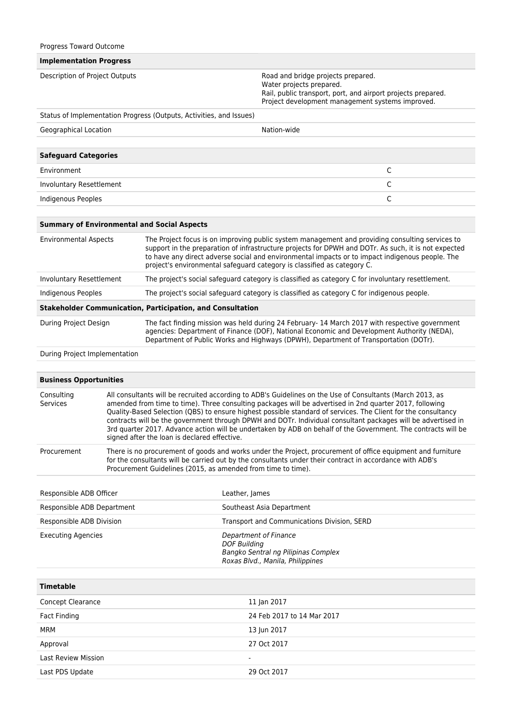### **Implementation Progress**

Description of Project Outputs **Community** Road and bridge projects prepared. Water projects prepared. Rail, public transport, port, and airport projects prepared. Project development management systems improved.

Status of Implementation Progress (Outputs, Activities, and Issues)

| <b>Geographical Location</b> | Nation-wide |  |
|------------------------------|-------------|--|
|                              |             |  |
| <b>Safeguard Categories</b>  |             |  |
| Environment                  | C           |  |
| Involuntary Resettlement     | C           |  |
| Indigenous Peoples           |             |  |

#### **Summary of Environmental and Social Aspects**

| <b>Environmental Aspects</b>                                      | The Project focus is on improving public system management and providing consulting services to<br>support in the preparation of infrastructure projects for DPWH and DOTr. As such, it is not expected<br>to have any direct adverse social and environmental impacts or to impact indigenous people. The<br>project's environmental safeguard category is classified as category C. |  |
|-------------------------------------------------------------------|---------------------------------------------------------------------------------------------------------------------------------------------------------------------------------------------------------------------------------------------------------------------------------------------------------------------------------------------------------------------------------------|--|
| Involuntary Resettlement                                          | The project's social safeguard category is classified as category C for involuntary resettlement.                                                                                                                                                                                                                                                                                     |  |
| Indigenous Peoples                                                | The project's social safeguard category is classified as category C for indigenous people.                                                                                                                                                                                                                                                                                            |  |
| <b>Stakeholder Communication, Participation, and Consultation</b> |                                                                                                                                                                                                                                                                                                                                                                                       |  |
| During Project Design                                             | The fact finding mission was held during 24 February- 14 March 2017 with respective government<br>agencies: Department of Finance (DOF), National Economic and Development Authority (NEDA),<br>Department of Public Works and Highways (DPWH), Department of Transportation (DOTr).                                                                                                  |  |

#### During Project Implementation

| <b>Business Opportunities</b> |                                                                                                                                                                                                                                                                                                                                                                                                                                                                                                                                                                                                                        |
|-------------------------------|------------------------------------------------------------------------------------------------------------------------------------------------------------------------------------------------------------------------------------------------------------------------------------------------------------------------------------------------------------------------------------------------------------------------------------------------------------------------------------------------------------------------------------------------------------------------------------------------------------------------|
| Consulting<br>Services        | All consultants will be recruited according to ADB's Guidelines on the Use of Consultants (March 2013, as<br>amended from time to time). Three consulting packages will be advertised in 2nd quarter 2017, following<br>Quality-Based Selection (QBS) to ensure highest possible standard of services. The Client for the consultancy<br>contracts will be the government through DPWH and DOTr. Individual consultant packages will be advertised in<br>3rd quarter 2017. Advance action will be undertaken by ADB on behalf of the Government. The contracts will be<br>signed after the loan is declared effective. |
| Procurement                   | There is no procurement of goods and works under the Project, procurement of office equipment and furniture<br>for the consultants will be carried out by the consultants under their contract in accordance with ADB's<br>Procurement Guidelines (2015, as amended from time to time).                                                                                                                                                                                                                                                                                                                                |

| Responsible ADB Officer    | Leather, James                                                                                                   |
|----------------------------|------------------------------------------------------------------------------------------------------------------|
| Responsible ADB Department | Southeast Asia Department                                                                                        |
| Responsible ADB Division   | Transport and Communications Division, SERD                                                                      |
| <b>Executing Agencies</b>  | Department of Finance<br>DOF Building<br>Bangko Sentral ng Pilipinas Complex<br>Roxas Blvd., Manila, Philippines |

| <b>Timetable</b>           |                            |  |
|----------------------------|----------------------------|--|
| Concept Clearance          | 11 Jan 2017                |  |
| Fact Finding               | 24 Feb 2017 to 14 Mar 2017 |  |
| MRM                        | 13 Jun 2017                |  |
| Approval                   | 27 Oct 2017                |  |
| <b>Last Review Mission</b> | ٠                          |  |
| Last PDS Update            | 29 Oct 2017                |  |